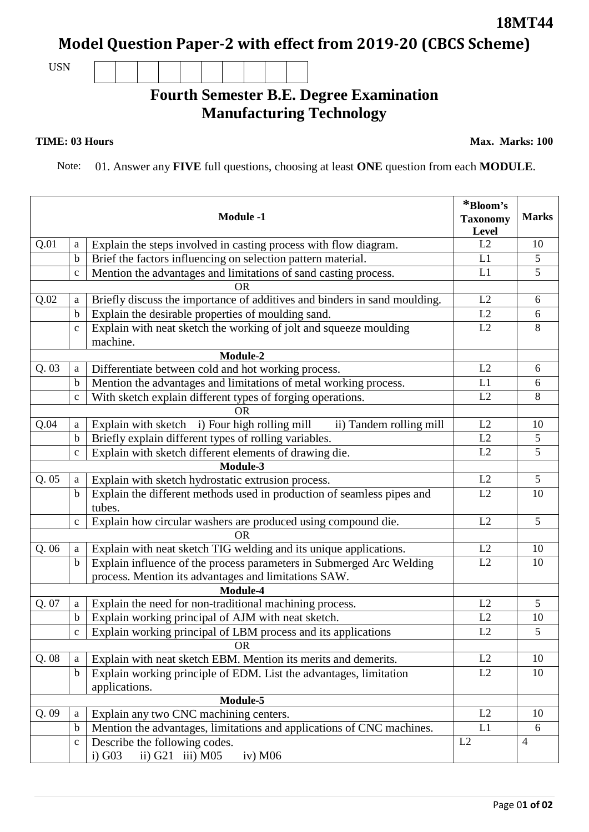## **Model Question Paper-2 with effect from 2019-20 (CBCS Scheme)**

USN

## **Fourth Semester B.E. Degree Examination Manufacturing Technology**

## **TIME: 03 Hours**

Note: 01. Answer any **FIVE** full questions, choosing at least **ONE** question from each **MODULE**.

|          |              | <b>Module -1</b>                                                          | *Bloom's<br><b>Taxonomy</b><br>Level | <b>Marks</b>   |
|----------|--------------|---------------------------------------------------------------------------|--------------------------------------|----------------|
| Q.01     | a            | Explain the steps involved in casting process with flow diagram.          | L2                                   | 10             |
|          | $\mathbf b$  | Brief the factors influencing on selection pattern material.              | L1                                   | 5              |
|          | $\mathbf c$  | Mention the advantages and limitations of sand casting process.           | L1                                   | 5              |
|          |              | <b>OR</b>                                                                 |                                      |                |
| Q.02     | a            | Briefly discuss the importance of additives and binders in sand moulding. | L2                                   | 6              |
|          | $\mathbf b$  | Explain the desirable properties of moulding sand.                        | L2                                   | 6              |
|          | $\mathbf c$  | Explain with neat sketch the working of jolt and squeeze moulding         | L2                                   | 8              |
|          |              | machine.                                                                  |                                      |                |
|          |              | Module-2                                                                  |                                      |                |
| Q.03     | a            | Differentiate between cold and hot working process.                       | L2                                   | 6              |
|          | $\mathbf b$  | Mention the advantages and limitations of metal working process.          | L1                                   | 6              |
|          | $\mathbf c$  | With sketch explain different types of forging operations.                | L2                                   | 8              |
|          |              | <b>OR</b>                                                                 |                                      |                |
| Q.04     | a            | Explain with sketch i) Four high rolling mill<br>ii) Tandem rolling mill  | L2                                   | 10             |
|          | b            | Briefly explain different types of rolling variables.                     | L2                                   | 5              |
|          | $\mathbf{C}$ | Explain with sketch different elements of drawing die.                    | L2                                   | 5              |
|          |              | Module-3                                                                  |                                      |                |
| Q.05     | a            | Explain with sketch hydrostatic extrusion process.                        | L2                                   | 5              |
|          | b            | Explain the different methods used in production of seamless pipes and    | L2                                   | 10             |
|          |              | tubes.                                                                    |                                      |                |
|          | $\mathbf c$  | Explain how circular washers are produced using compound die.             | L2                                   | 5              |
|          |              | <b>OR</b>                                                                 |                                      |                |
| Q. 06    | a            | Explain with neat sketch TIG welding and its unique applications.         | L2                                   | 10             |
|          | $\mathbf b$  | Explain influence of the process parameters in Submerged Arc Welding      | L2                                   | 10             |
|          |              | process. Mention its advantages and limitations SAW.                      |                                      |                |
| Module-4 |              |                                                                           |                                      |                |
| Q. 07    | a            | Explain the need for non-traditional machining process.                   | L2                                   | 5              |
|          | b            | Explain working principal of AJM with neat sketch.                        | L2                                   | 10             |
|          | $\mathbf c$  | Explain working principal of LBM process and its applications             | L2                                   | 5              |
|          |              | <b>OR</b>                                                                 |                                      |                |
| Q.08     | a            | Explain with neat sketch EBM. Mention its merits and demerits.            | L2                                   | 10             |
|          | $\mathbf b$  | Explain working principle of EDM. List the advantages, limitation         | L2                                   | 10             |
|          |              | applications.                                                             |                                      |                |
|          |              | Module-5                                                                  |                                      |                |
| Q.09     | a            | Explain any two CNC machining centers.                                    | L2                                   | 10             |
|          | b            | Mention the advantages, limitations and applications of CNC machines.     | L1                                   | 6              |
|          | $\mathbf C$  | Describe the following codes.                                             | L2                                   | $\overline{4}$ |
|          |              | $i)$ G03<br>ii) G21 iii) M05<br>iv) $M06$                                 |                                      |                |

**18MT44**

**Max. Marks: 100**